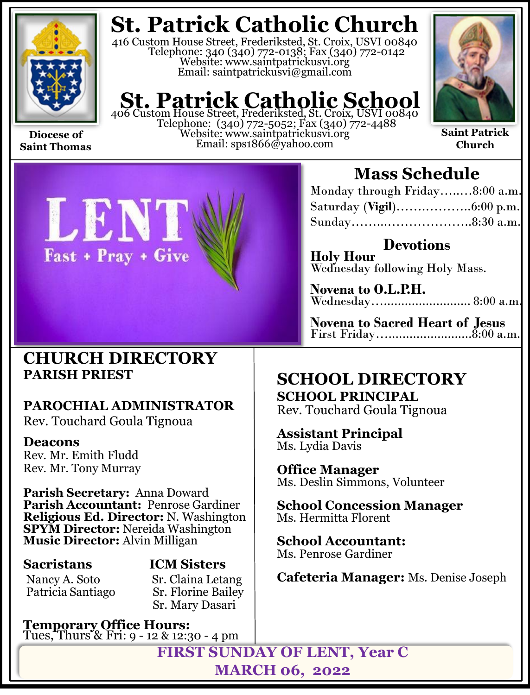

**Saint Thomas**

# **St. Patrick Catholic Church**

416 Custom House Street, Frederiksted, St. Croix, USVI 00840 Telephone: 340 (340) 772-0138; Fax (340) 772-0142 Website: www.saintpatrickusvi.org Email: saintpatrickusvi@gmail.com

# **St. Patrick Catholic School**<br>406 Custom House Street, Frederiksted, St. Croix, USVI 00840

Telephone: (340) 772-5052; Fax (340) 772-4488 Website: www.saintpatrickusvi.org Email: sps1866@yahoo.com



**Saint Patrick Church**



## **Mass Schedule**

| Monday through Friday8:00 a.m. |  |
|--------------------------------|--|
|                                |  |
|                                |  |

**Devotions Holy Hour**  Wednesday following Holy Mass.

**Novena to O.L.P.H.** Wednesday…......................... 8:00 a.m.

**Novena to Sacred Heart of Jesus** First Friday…........................8:00 a.m.

## **CHURCH DIRECTORY PARISH PRIEST**

## **PAROCHIAL ADMINISTRATOR**

Rev. Touchard Goula Tignoua

### **Deacons**

Rev. Mr. Emith Fludd Rev. Mr. Tony Murray

**Parish Secretary:** Anna Doward **Parish Accountant:** Penrose Gardiner **Religious Ed. Director:** N. Washington **SPYM Director:** Nereida Washington **Music Director:** Alvin Milligan

Patricia Santiago

**Sacristans ICM Sisters** Nancy A. Soto Sr. Claina Letang<br>Patricia Santiago Sr. Florine Bailey Sr. Mary Dasari

**Temporary Office Hours:**  Tues, Thurs & Fri: 9 - 12 & 12:30 - 4 pm

## **SCHOOL DIRECTORY**

**SCHOOL PRINCIPAL** Rev. Touchard Goula Tignoua

**Assistant Principal** Ms. Lydia Davis

**Office Manager** Ms. Deslin Simmons, Volunteer

**School Concession Manager** Ms. Hermitta Florent

**School Accountant:**  Ms. Penrose Gardiner

**Cafeteria Manager:** Ms. Denise Joseph

**FIRST SUNDAY OF LENT, Year C MARCH 06, 2022**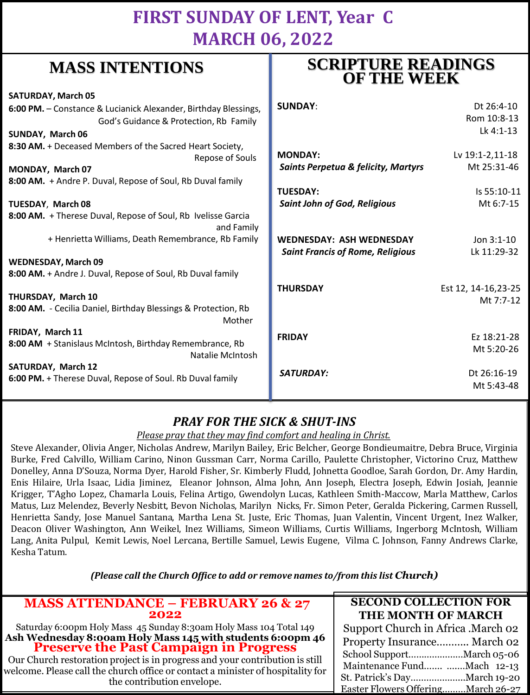## **FIRST SUNDAY OF LENT, Year C MARCH 06, 2022**

**SCRIPTURE READINGS** 

## **MASS INTENTIONS**

| when hit had the control                                                           |                                                | <b>OF THE WEEK</b>        |  |
|------------------------------------------------------------------------------------|------------------------------------------------|---------------------------|--|
| <b>SATURDAY, March 05</b>                                                          |                                                |                           |  |
| 6:00 PM. - Constance & Lucianick Alexander, Birthday Blessings,                    | <b>SUNDAY:</b>                                 | Dt 26:4-10                |  |
| God's Guidance & Protection, Rb Family                                             |                                                | Rom 10:8-13               |  |
| SUNDAY, March 06                                                                   |                                                | Lk 4:1-13                 |  |
| 8:30 AM. + Deceased Members of the Sacred Heart Society,                           |                                                |                           |  |
| Repose of Souls                                                                    | <b>MONDAY:</b>                                 | Lv 19:1-2,11-18           |  |
| MONDAY, March 07                                                                   | <b>Saints Perpetua &amp; felicity, Martyrs</b> | Mt 25:31-46               |  |
| 8:00 AM. + Andre P. Duval, Repose of Soul, Rb Duval family                         |                                                |                           |  |
|                                                                                    | <b>TUESDAY:</b>                                | Is 55:10-11               |  |
| <b>TUESDAY, March 08</b>                                                           | <b>Saint John of God, Religious</b>            | Mt 6:7-15                 |  |
| 8:00 AM. + Therese Duval, Repose of Soul, Rb Ivelisse Garcia<br>and Family         |                                                |                           |  |
| + Henrietta Williams, Death Remembrance, Rb Family                                 | <b>WEDNESDAY: ASH WEDNESDAY</b>                | Jon $3:1-10$              |  |
|                                                                                    | <b>Saint Francis of Rome, Religious</b>        | Lk 11:29-32               |  |
| <b>WEDNESDAY, March 09</b>                                                         |                                                |                           |  |
| 8:00 AM. + Andre J. Duval, Repose of Soul, Rb Duval family                         |                                                |                           |  |
|                                                                                    | <b>THURSDAY</b>                                | Est 12, 14-16, 23-25      |  |
| THURSDAY, March 10                                                                 |                                                | Mt 7:7-12                 |  |
| 8:00 AM. - Cecilia Daniel, Birthday Blessings & Protection, Rb<br>Mother           |                                                |                           |  |
| FRIDAY, March 11                                                                   | <b>FRIDAY</b>                                  | Ez 18:21-28               |  |
| 8:00 AM + Stanislaus McIntosh, Birthday Remembrance, Rb<br><b>Natalie McIntosh</b> |                                                | Mt 5:20-26                |  |
| <b>SATURDAY, March 12</b>                                                          |                                                |                           |  |
| 6:00 PM. + Therese Duval, Repose of Soul. Rb Duval family                          | SATURDAY:                                      | Dt 26:16-19<br>Mt 5:43-48 |  |
|                                                                                    |                                                |                           |  |

### *PRAY FOR THE SICK & SHUT-INS*

### *Please pray that they may find comfort and healing in Christ.*

Steve Alexander, Olivia Anger, Nicholas Andrew, Marilyn Bailey, Eric Belcher, George Bondieumaitre, Debra Bruce, Virginia Burke, Fred Calvillo, William Carino, Ninon Gussman Carr, Norma Carillo, Paulette Christopher, Victorino Cruz, Matthew Donelley, Anna D'Souza, Norma Dyer, Harold Fisher, Sr. Kimberly Fludd, Johnetta Goodloe, Sarah Gordon, Dr. Amy Hardin, Enis Hilaire, Urla Isaac, Lidia Jiminez, Eleanor Johnson, Alma John, Ann Joseph, Electra Joseph, Edwin Josiah, Jeannie Krigger, T'Agho Lopez, Chamarla Louis, Felina Artigo, Gwendolyn Lucas, Kathleen Smith-Maccow, Marla Matthew, Carlos Matus, Luz Melendez, Beverly Nesbitt, Bevon Nicholas, Marilyn Nicks, Fr. Simon Peter, Geralda Pickering, Carmen Russell, Henrietta Sandy, Jose Manuel Santana, Martha Lena St. Juste, Eric Thomas, Juan Valentin, Vincent Urgent, Inez Walker, Deacon Oliver Washington, Ann Weikel, Inez Williams, Simeon Williams, Curtis Williams, Ingerborg McIntosh, William Lang, Anita Pulpul, Kemit Lewis, Noel Lercana, Bertille Samuel, Lewis Eugene, Vilma C. Johnson, Fanny Andrews Clarke, Kesha Tatum.

*(Please call the Church Office to add or remove names to/from this list Church)*

| <b>MASS ATTENDANCE - FEBRUARY 26 &amp; 27</b>                                                                                                                                                 | <b>SECOND COLLECTION FOR</b>        |
|-----------------------------------------------------------------------------------------------------------------------------------------------------------------------------------------------|-------------------------------------|
| 2022                                                                                                                                                                                          | THE MONTH OF MARCH                  |
| Saturday 6:00pm Holy Mass 45 Sunday 8:30am Holy Mass 104 Total 149                                                                                                                            | Support Church in Africa . March 02 |
| Ash Wednesday 8:00am Holy Mass 145 with students 6:00pm 46<br>Preserve the Past Campaign in Progress                                                                                          | Property Insurance March 02         |
|                                                                                                                                                                                               |                                     |
| Our Church restoration project is in progress and your contribution is still<br>welcome. Please call the church office or contact a minister of hospitality for<br>the contribution envelope. | Maintenance Fund Mach 12-13         |
|                                                                                                                                                                                               | St. Patrick's DayMarch 19-20        |
|                                                                                                                                                                                               | Easter Flowers OfferingMarch 26-27  |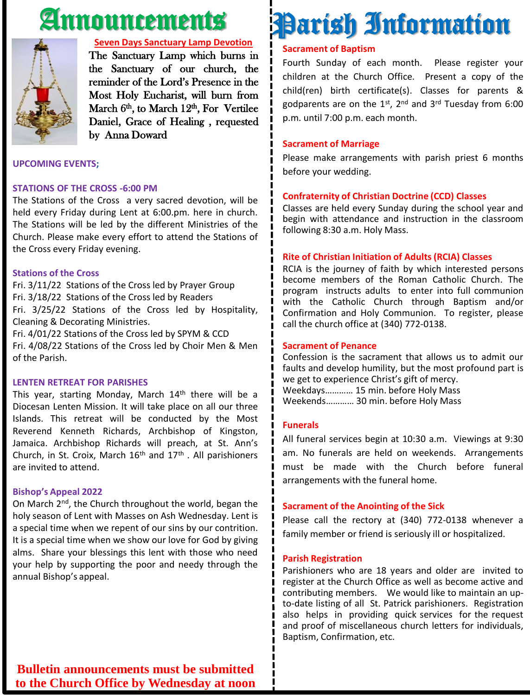# Announcements



### **Seven Days Sanctuary Lamp Devotion**

The Sanctuary Lamp which burns in the Sanctuary of our church, the reminder of the Lord's Presence in the Most Holy Eucharist, will burn from March 6<sup>th</sup>, to March 12<sup>th</sup>, For Vertilee Daniel, Grace of Healing , requested by Anna Doward

### **UPCOMING EVENTS;**

### **STATIONS OF THE CROSS -6:00 PM**

The Stations of the Cross a very sacred devotion, will be held every Friday during Lent at 6:00.pm. here in church. The Stations will be led by the different Ministries of the Church. Please make every effort to attend the Stations of the Cross every Friday evening.

### **Stations of the Cross**

Fri. 3/11/22 Stations of the Cross led by Prayer Group Fri. 3/18/22 Stations of the Cross led by Readers Fri. 3/25/22 Stations of the Cross led by Hospitality, Cleaning & Decorating Ministries. Fri. 4/01/22 Stations of the Cross led by SPYM & CCD

Fri. 4/08/22 Stations of the Cross led by Choir Men & Men of the Parish.

### **LENTEN RETREAT FOR PARISHES**

This year, starting Monday, March  $14<sup>th</sup>$  there will be a Diocesan Lenten Mission. It will take place on all our three Islands. This retreat will be conducted by the Most Reverend Kenneth Richards, Archbishop of Kingston, Jamaica. Archbishop Richards will preach, at St. Ann's Church, in St. Croix, March  $16<sup>th</sup>$  and  $17<sup>th</sup>$ . All parishioners are invited to attend.

### **Bishop's Appeal 2022**

On March 2<sup>nd</sup>, the Church throughout the world, began the holy season of Lent with Masses on Ash Wednesday. Lent is a special time when we repent of our sins by our contrition. It is a special time when we show our love for God by giving alms. Share your blessings this lent with those who need your help by supporting the poor and needy through the annual Bishop's appeal.

# Parish Information

### **Sacrament of Baptism**

Fourth Sunday of each month. Please register your children at the Church Office. Present a copy of the child(ren) birth certificate(s). Classes for parents & godparents are on the 1st, 2<sup>nd</sup> and 3<sup>rd</sup> Tuesday from 6:00 p.m. until 7:00 p.m. each month.

### **Sacrament of Marriage**

Please make arrangements with parish priest 6 months before your wedding.

### **Confraternity of Christian Doctrine (CCD) Classes**

Classes are held every Sunday during the school year and begin with attendance and instruction in the classroom following 8:30 a.m. Holy Mass.

### **Rite of Christian Initiation of Adults (RCIA) Classes**

RCIA is the journey of faith by which interested persons become members of the Roman Catholic Church. The program instructs adults to enter into full communion with the Catholic Church through Baptism and/or Confirmation and Holy Communion. To register, please call the church office at (340) 772-0138.

#### **Sacrament of Penance**

Confession is the sacrament that allows us to admit our faults and develop humility, but the most profound part is we get to experience Christ's gift of mercy. Weekdays………… 15 min. before Holy Mass Weekends………… 30 min. before Holy Mass

### **Funerals**

All funeral services begin at 10:30 a.m. Viewings at 9:30 am. No funerals are held on weekends. Arrangements must be made with the Church before funeral arrangements with the funeral home.

### **Sacrament of the Anointing of the Sick**

Please call the rectory at (340) 772-0138 whenever a family member or friend is seriously ill or hospitalized.

#### **Parish Registration**

Parishioners who are 18 years and older are invited to register at the Church Office as well as become active and contributing members. We would like to maintain an upto-date listing of all St. Patrick parishioners. Registration also helps in providing quick services for the request and proof of miscellaneous church letters for individuals, Baptism, Confirmation, etc.

**Bulletin announcements must be submitted to the Church Office by Wednesday at noon**